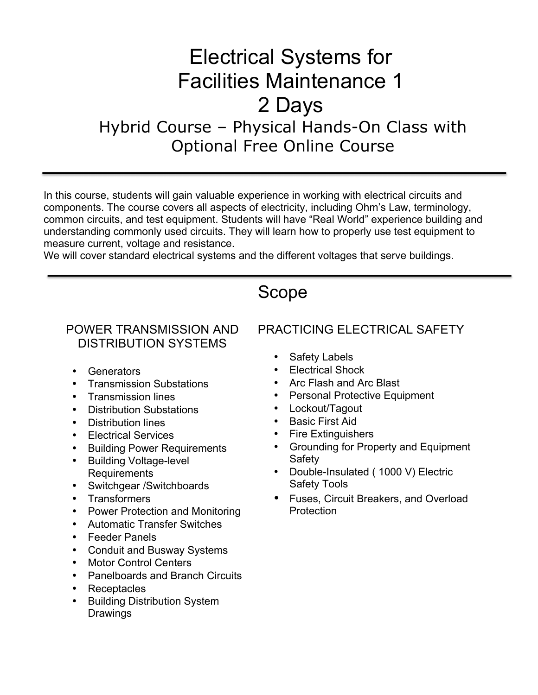# Electrical Systems for Facilities Maintenance 1 2 Days Hybrid Course – Physical Hands-On Class with Optional Free Online Course

In this course, students will gain valuable experience in working with electrical circuits and components. The course covers all aspects of electricity, including Ohm's Law, terminology, common circuits, and test equipment. Students will have "Real World" experience building and understanding commonly used circuits. They will learn how to properly use test equipment to measure current, voltage and resistance.

We will cover standard electrical systems and the different voltages that serve buildings.

## Scope

#### POWER TRANSMISSION AND DISTRIBUTION SYSTEMS

- Generators
- Transmission Substations
- Transmission lines
- Distribution Substations
- Distribution lines
- Electrical Services
- Building Power Requirements
- Building Voltage-level Requirements
- Switchgear /Switchboards
- Transformers
- Power Protection and Monitoring
- Automatic Transfer Switches
- Feeder Panels
- Conduit and Busway Systems
- Motor Control Centers
- Panelboards and Branch Circuits
- Receptacles
- Building Distribution System **Drawings**

#### PRACTICING ELECTRICAL SAFETY

- Safety Labels
- Electrical Shock
- Arc Flash and Arc Blast
- Personal Protective Equipment
- Lockout/Tagout
- Basic First Aid
- Fire Extinguishers
- Grounding for Property and Equipment Safety
- Double-Insulated ( 1000 V) Electric Safety Tools
- Fuses, Circuit Breakers, and Overload **Protection**